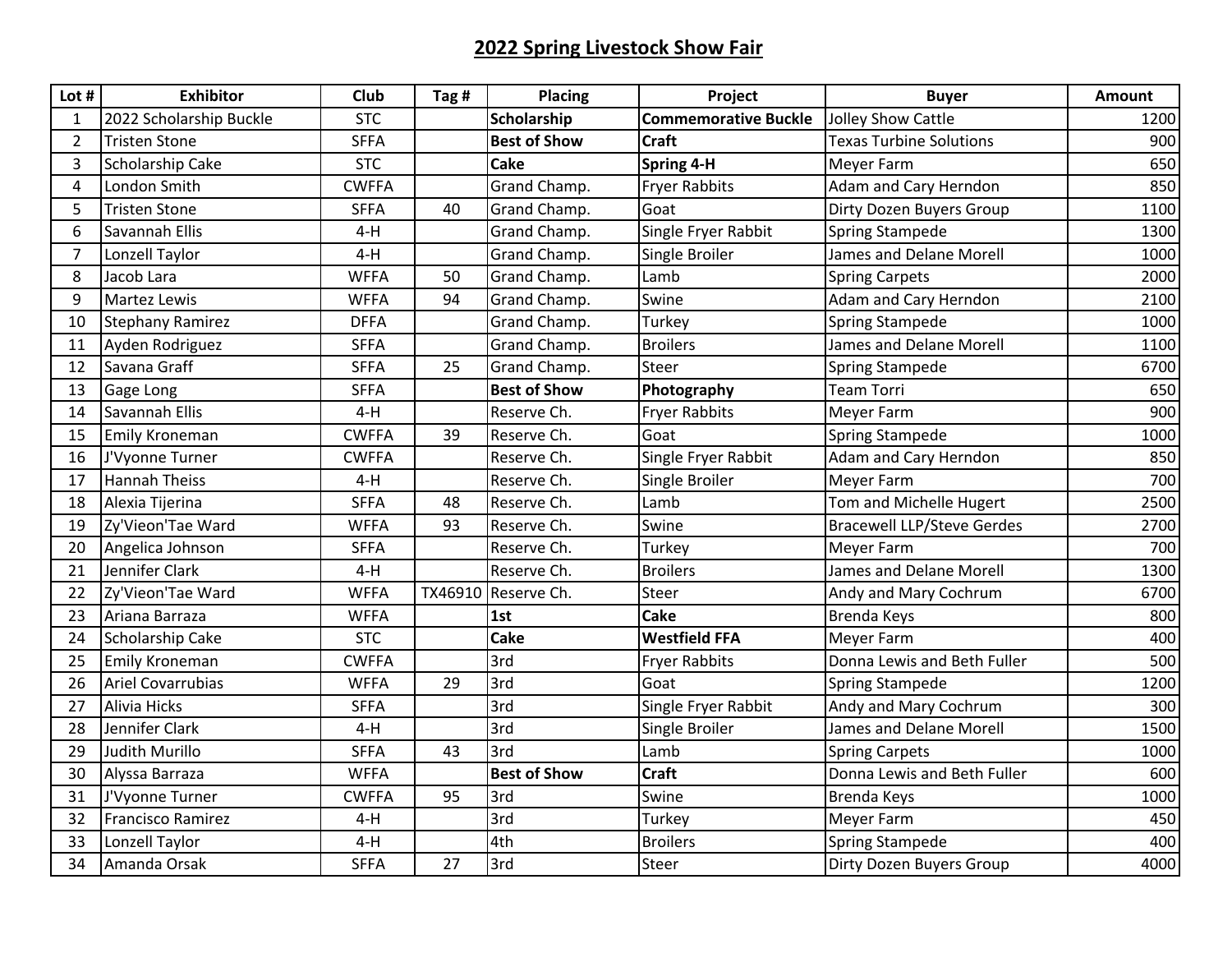## **2022 Spring Livestock Show Fair**

| Lot #          | <b>Exhibitor</b>         | Club         | Tag #   | <b>Placing</b>      | Project                     | <b>Buyer</b>                      | Amount |
|----------------|--------------------------|--------------|---------|---------------------|-----------------------------|-----------------------------------|--------|
| 1              | 2022 Scholarship Buckle  | <b>STC</b>   |         | <b>Scholarship</b>  | <b>Commemorative Buckle</b> | Jolley Show Cattle                | 1200   |
| $\overline{2}$ | <b>Tristen Stone</b>     | <b>SFFA</b>  |         | <b>Best of Show</b> | <b>Craft</b>                | <b>Texas Turbine Solutions</b>    | 900    |
| 3              | Scholarship Cake         | <b>STC</b>   |         | <b>Cake</b>         | Spring 4-H                  | Meyer Farm                        | 650    |
| 4              | London Smith             | <b>CWFFA</b> |         | Grand Champ.        | <b>Fryer Rabbits</b>        | Adam and Cary Herndon             | 850    |
| 5              | <b>Tristen Stone</b>     | <b>SFFA</b>  | 40      | Grand Champ.        | Goat                        | Dirty Dozen Buyers Group          | 1100   |
| 6              | Savannah Ellis           | $4-H$        |         | Grand Champ.        | Single Fryer Rabbit         | <b>Spring Stampede</b>            | 1300   |
| $\overline{7}$ | Lonzell Taylor           | $4-H$        |         | Grand Champ.        | Single Broiler              | James and Delane Morell           | 1000   |
| 8              | Jacob Lara               | <b>WFFA</b>  | 50      | Grand Champ.        | Lamb                        | <b>Spring Carpets</b>             | 2000   |
| 9              | Martez Lewis             | <b>WFFA</b>  | 94      | Grand Champ.        | Swine                       | Adam and Cary Herndon             | 2100   |
| 10             | <b>Stephany Ramirez</b>  | <b>DFFA</b>  |         | Grand Champ.        | Turkey                      | <b>Spring Stampede</b>            | 1000   |
| 11             | Ayden Rodriguez          | <b>SFFA</b>  |         | Grand Champ.        | <b>Broilers</b>             | James and Delane Morell           | 1100   |
| 12             | Savana Graff             | <b>SFFA</b>  | 25      | Grand Champ.        | <b>Steer</b>                | <b>Spring Stampede</b>            | 6700   |
| 13             | Gage Long                | <b>SFFA</b>  |         | <b>Best of Show</b> | Photography                 | <b>Team Torri</b>                 | 650    |
| 14             | Savannah Ellis           | $4-H$        |         | Reserve Ch.         | <b>Fryer Rabbits</b>        | Meyer Farm                        | 900    |
| 15             | <b>Emily Kroneman</b>    | <b>CWFFA</b> | 39      | Reserve Ch.         | Goat                        | <b>Spring Stampede</b>            | 1000   |
| 16             | J'Vyonne Turner          | <b>CWFFA</b> |         | Reserve Ch.         | Single Fryer Rabbit         | Adam and Cary Herndon             | 850    |
| 17             | <b>Hannah Theiss</b>     | $4-H$        |         | Reserve Ch.         | Single Broiler              | Meyer Farm                        | 700    |
| 18             | Alexia Tijerina          | <b>SFFA</b>  | 48      | Reserve Ch.         | Lamb                        | Tom and Michelle Hugert           | 2500   |
| 19             | Zy'Vieon'Tae Ward        | <b>WFFA</b>  | 93      | Reserve Ch.         | Swine                       | <b>Bracewell LLP/Steve Gerdes</b> | 2700   |
| 20             | Angelica Johnson         | <b>SFFA</b>  |         | Reserve Ch.         | Turkey                      | Meyer Farm                        | 700    |
| 21             | Jennifer Clark           | $4-H$        |         | Reserve Ch.         | <b>Broilers</b>             | James and Delane Morell           | 1300   |
| 22             | Zy'Vieon'Tae Ward        | <b>WFFA</b>  | TX46910 | Reserve Ch.         | Steer                       | Andy and Mary Cochrum             | 6700   |
| 23             | Ariana Barraza           | <b>WFFA</b>  |         | 1st                 | <b>Cake</b>                 | <b>Brenda Keys</b>                | 800    |
| 24             | Scholarship Cake         | <b>STC</b>   |         | Cake                | <b>Westfield FFA</b>        | Meyer Farm                        | 400    |
| 25             | <b>Emily Kroneman</b>    | <b>CWFFA</b> |         | 3rd                 | <b>Fryer Rabbits</b>        | Donna Lewis and Beth Fuller       | 500    |
| 26             | <b>Ariel Covarrubias</b> | <b>WFFA</b>  | 29      | 3rd                 | Goat                        | <b>Spring Stampede</b>            | 1200   |
| 27             | <b>Alivia Hicks</b>      | <b>SFFA</b>  |         | 3rd                 | Single Fryer Rabbit         | Andy and Mary Cochrum             | 300    |
| 28             | Jennifer Clark           | $4-H$        |         | 3rd                 | Single Broiler              | James and Delane Morell           | 1500   |
| 29             | <b>Judith Murillo</b>    | <b>SFFA</b>  | 43      | 3rd                 | Lamb                        | <b>Spring Carpets</b>             | 1000   |
| 30             | Alyssa Barraza           | <b>WFFA</b>  |         | <b>Best of Show</b> | <b>Craft</b>                | Donna Lewis and Beth Fuller       | 600    |
| 31             | J'Vyonne Turner          | <b>CWFFA</b> | 95      | 3rd                 | Swine                       | <b>Brenda Keys</b>                | 1000   |
| 32             | <b>Francisco Ramirez</b> | $4-H$        |         | 3rd                 | Turkey                      | Meyer Farm                        | 450    |
| 33             | Lonzell Taylor           | $4-H$        |         | 4th                 | <b>Broilers</b>             | <b>Spring Stampede</b>            | 400    |
| 34             | Amanda Orsak             | <b>SFFA</b>  | 27      | 3rd                 | Steer                       | Dirty Dozen Buyers Group          | 4000   |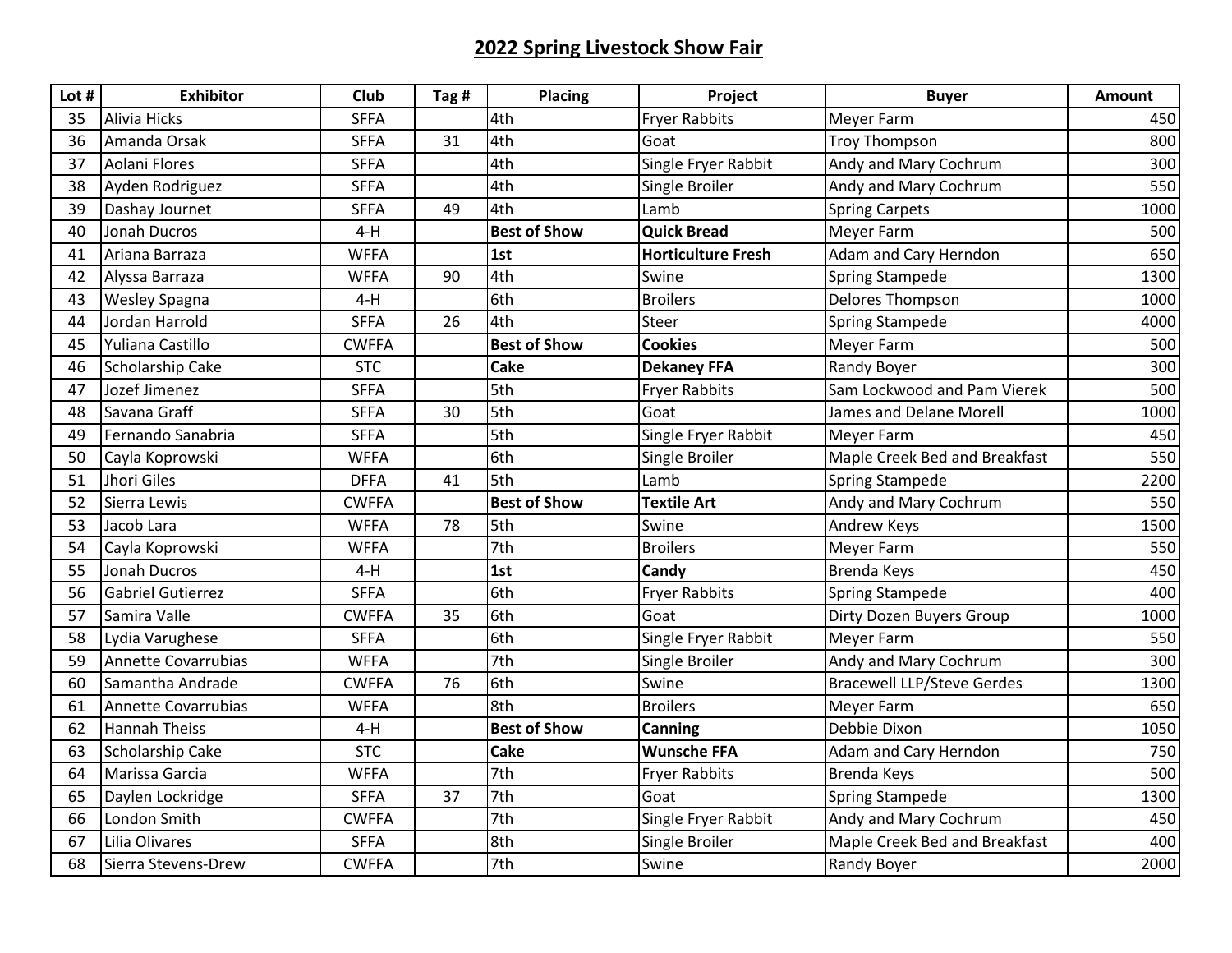## **2022 Spring Livestock Show Fair**

| Lot # | <b>Exhibitor</b>         | <b>Club</b>  | Tag # | <b>Placing</b>      | Project                   | <b>Buyer</b>                      | Amount |
|-------|--------------------------|--------------|-------|---------------------|---------------------------|-----------------------------------|--------|
| 35    | Alivia Hicks             | <b>SFFA</b>  |       | 4th                 | <b>Fryer Rabbits</b>      | Meyer Farm                        | 450    |
| 36    | Amanda Orsak             | <b>SFFA</b>  | 31    | 4th                 | Goat                      | Troy Thompson                     | 800    |
| 37    | Aolani Flores            | <b>SFFA</b>  |       | 4th                 | Single Fryer Rabbit       | Andy and Mary Cochrum             | 300    |
| 38    | Ayden Rodriguez          | <b>SFFA</b>  |       | 4th                 | Single Broiler            | Andy and Mary Cochrum             | 550    |
| 39    | Dashay Journet           | <b>SFFA</b>  | 49    | 4th                 | Lamb                      | <b>Spring Carpets</b>             | 1000   |
| 40    | Jonah Ducros             | $4-H$        |       | <b>Best of Show</b> | <b>Quick Bread</b>        | <b>Meyer Farm</b>                 | 500    |
| 41    | Ariana Barraza           | <b>WFFA</b>  |       | 1st                 | <b>Horticulture Fresh</b> | Adam and Cary Herndon             | 650    |
| 42    | Alyssa Barraza           | <b>WFFA</b>  | 90    | 4th                 | Swine                     | <b>Spring Stampede</b>            | 1300   |
| 43    | <b>Wesley Spagna</b>     | $4-H$        |       | 6th                 | <b>Broilers</b>           | <b>Delores Thompson</b>           | 1000   |
| 44    | Jordan Harrold           | <b>SFFA</b>  | 26    | 4th                 | Steer                     | Spring Stampede                   | 4000   |
| 45    | Yuliana Castillo         | <b>CWFFA</b> |       | <b>Best of Show</b> | <b>Cookies</b>            | Meyer Farm                        | 500    |
| 46    | Scholarship Cake         | <b>STC</b>   |       | <b>Cake</b>         | <b>Dekaney FFA</b>        | Randy Boyer                       | 300    |
| 47    | Jozef Jimenez            | <b>SFFA</b>  |       | 5th                 | <b>Fryer Rabbits</b>      | Sam Lockwood and Pam Vierek       | 500    |
| 48    | Savana Graff             | <b>SFFA</b>  | 30    | 5th                 | Goat                      | James and Delane Morell           | 1000   |
| 49    | Fernando Sanabria        | <b>SFFA</b>  |       | 5th                 | Single Fryer Rabbit       | <b>Meyer Farm</b>                 | 450    |
| 50    | Cayla Koprowski          | <b>WFFA</b>  |       | 6th                 | Single Broiler            | Maple Creek Bed and Breakfast     | 550    |
| 51    | Jhori Giles              | <b>DFFA</b>  | 41    | 5th                 | Lamb                      | <b>Spring Stampede</b>            | 2200   |
| 52    | Sierra Lewis             | <b>CWFFA</b> |       | <b>Best of Show</b> | <b>Textile Art</b>        | Andy and Mary Cochrum             | 550    |
| 53    | Jacob Lara               | <b>WFFA</b>  | 78    | 5th                 | Swine                     | <b>Andrew Keys</b>                | 1500   |
| 54    | Cayla Koprowski          | <b>WFFA</b>  |       | 7th                 | <b>Broilers</b>           | <b>Meyer Farm</b>                 | 550    |
| 55    | Jonah Ducros             | $4-H$        |       | 1st                 | Candy                     | <b>Brenda Keys</b>                | 450    |
| 56    | <b>Gabriel Gutierrez</b> | <b>SFFA</b>  |       | 6th                 | <b>Fryer Rabbits</b>      | <b>Spring Stampede</b>            | 400    |
| 57    | Samira Valle             | <b>CWFFA</b> | 35    | 6th                 | Goat                      | Dirty Dozen Buyers Group          | 1000   |
| 58    | Lydia Varughese          | <b>SFFA</b>  |       | 6th                 | Single Fryer Rabbit       | Meyer Farm                        | 550    |
| 59    | Annette Covarrubias      | <b>WFFA</b>  |       | 7th                 | Single Broiler            | Andy and Mary Cochrum             | 300    |
| 60    | Samantha Andrade         | <b>CWFFA</b> | 76    | 6th                 | Swine                     | <b>Bracewell LLP/Steve Gerdes</b> | 1300   |
| 61    | Annette Covarrubias      | <b>WFFA</b>  |       | 8th                 | <b>Broilers</b>           | Meyer Farm                        | 650    |
| 62    | <b>Hannah Theiss</b>     | $4-H$        |       | <b>Best of Show</b> | <b>Canning</b>            | Debbie Dixon                      | 1050   |
| 63    | Scholarship Cake         | <b>STC</b>   |       | <b>Cake</b>         | <b>Wunsche FFA</b>        | Adam and Cary Herndon             | 750    |
| 64    | Marissa Garcia           | <b>WFFA</b>  |       | 7th                 | <b>Fryer Rabbits</b>      | <b>Brenda Keys</b>                | 500    |
| 65    | Daylen Lockridge         | <b>SFFA</b>  | 37    | 7th                 | Goat                      | <b>Spring Stampede</b>            | 1300   |
| 66    | London Smith             | <b>CWFFA</b> |       | 7th                 | Single Fryer Rabbit       | Andy and Mary Cochrum             | 450    |
| 67    | Lilia Olivares           | <b>SFFA</b>  |       | 8th                 | Single Broiler            | Maple Creek Bed and Breakfast     | 400    |
| 68    | Sierra Stevens-Drew      | <b>CWFFA</b> |       | 7th                 | Swine                     | <b>Randy Boyer</b>                | 2000   |